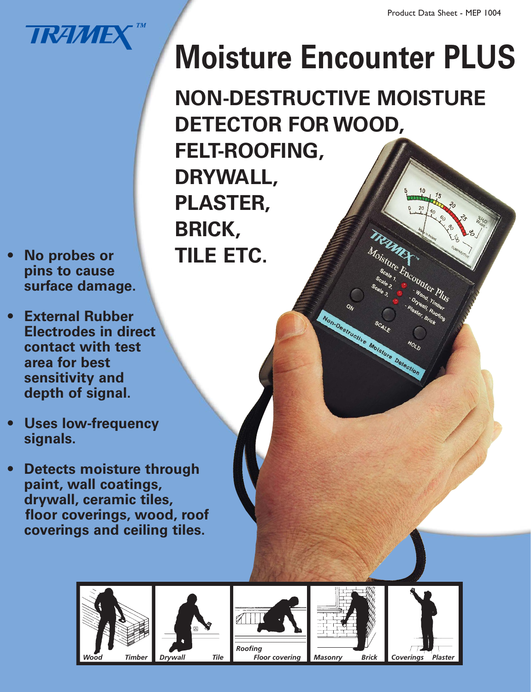

- **pins to cause surface damage.**
- **External Rubber Electrodes in direct contact with test area for best sensitivity and depth of signal.**
- **Uses low-frequency signals.**
- **Detects moisture through paint, wall coatings, drywall, ceramic tiles, floor coverings, wood, roof coverings and ceiling tiles.**

## **Moisture Encounter PLUS**

**NON-DESTRUCTIVE MOISTURE DETECTOR FOR WOOD, FELT-ROOFING, DRYWALL, PLASTER, BRICK, No probes or TILE ETC.** 

Non-Desinictive Moisiure Detection